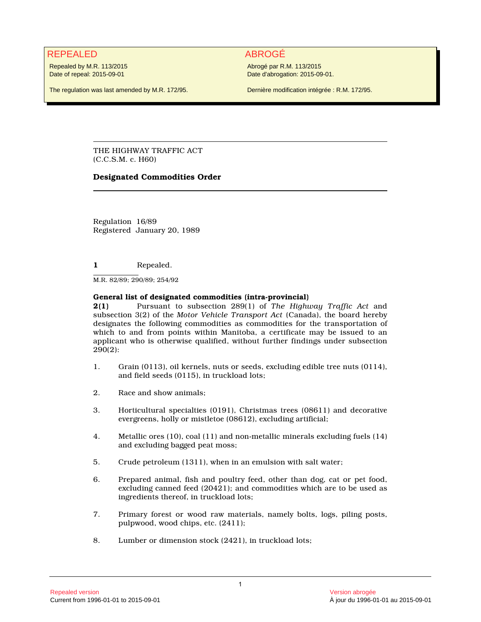## REPEALED ABROGÉ

Repealed by M.R. 113/2015 Date of repeal: 2015-09-01

Abrogé par R.M. 113/2015 Date d'abrogation: 2015-09-01.

The regulation was last amended by M.R. 172/95.

Dernière modification intégrée : R.M. 172/95.

THE HIGHWAY TRAFFIC ACT (C.C.S.M. c. H60)

### **Designated Commodities Order**

Regulation 16/89 Registered January 20, 1989

**1** Repealed.

M.R. 82/89; 290/89; 254/92

### **General list of designated commodities (intra-provincial)**

**2(1)** Pursuant to subsection 289(1) of *The Highway Traffic Act* and subsection 3(2) of the *Motor Vehicle Transport Act* (Canada), the board hereby designates the following commodities as commodities for the transportation of which to and from points within Manitoba, a certificate may be issued to an applicant who is otherwise qualified, without further findings under subsection 290(2):

- 1. Grain (0113), oil kernels, nuts or seeds, excluding edible tree nuts (0114), and field seeds (0115), in truckload lots;
- 2. Race and show animals;
- 3. Horticultural specialties (0191), Christmas trees (08611) and decorative evergreens, holly or mistletoe (08612), excluding artificial;
- 4. Metallic ores (10), coal (11) and non-metallic minerals excluding fuels (14) and excluding bagged peat moss;
- 5. Crude petroleum (1311), when in an emulsion with salt water;
- 6. Prepared animal, fish and poultry feed, other than dog, cat or pet food, excluding canned feed (20421); and commodities which are to be used as ingredients thereof, in truckload lots;
- 7. Primary forest or wood raw materials, namely bolts, logs, piling posts, pulpwood, wood chips, etc. (2411);
- 8. Lumber or dimension stock (2421), in truckload lots;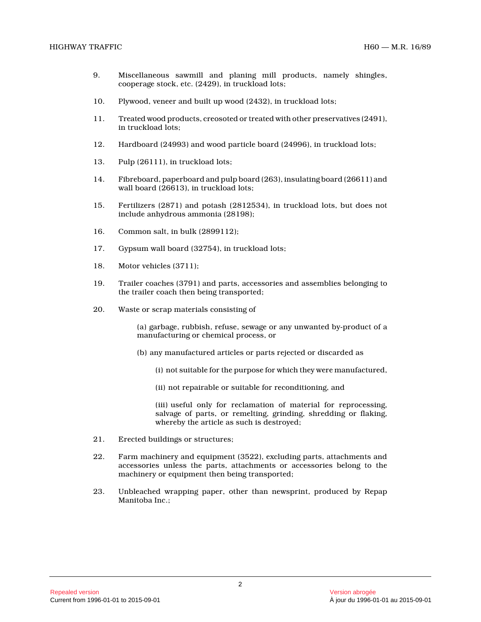- 9. Miscellaneous sawmill and planing mill products, namely shingles, cooperage stock, etc. (2429), in truckload lots;
- 10. Plywood, veneer and built up wood (2432), in truckload lots;
- 11. Treated wood products, creosoted or treated with other preservatives (2491), in truckload lots;
- 12. Hardboard (24993) and wood particle board (24996), in truckload lots;
- 13. Pulp (26111), in truckload lots;
- 14. Fibreboard, paperboard and pulp board (263), insulating board (26611) and wall board (26613), in truckload lots;
- 15. Fertilizers (2871) and potash (2812534), in truckload lots, but does not include anhydrous ammonia (28198);
- 16. Common salt, in bulk (2899112);
- 17. Gypsum wall board (32754), in truckload lots;
- 18. Motor vehicles (3711);
- 19. Trailer coaches (3791) and parts, accessories and assemblies belonging to the trailer coach then being transported;
- 20. Waste or scrap materials consisting of

(a) garbage, rubbish, refuse, sewage or any unwanted by-product of a manufacturing or chemical process, or

- (b) any manufactured articles or parts rejected or discarded as
	- (i) not suitable for the purpose for which they were manufactured,
	- (ii) not repairable or suitable for reconditioning, and

(iii) useful only for reclamation of material for reprocessing, salvage of parts, or remelting, grinding, shredding or flaking, whereby the article as such is destroyed;

- 21. Erected buildings or structures;
- 22. Farm machinery and equipment (3522), excluding parts, attachments and accessories unless the parts, attachments or accessories belong to the machinery or equipment then being transported;
- 23. Unbleached wrapping paper, other than newsprint, produced by Repap Manitoba Inc.;